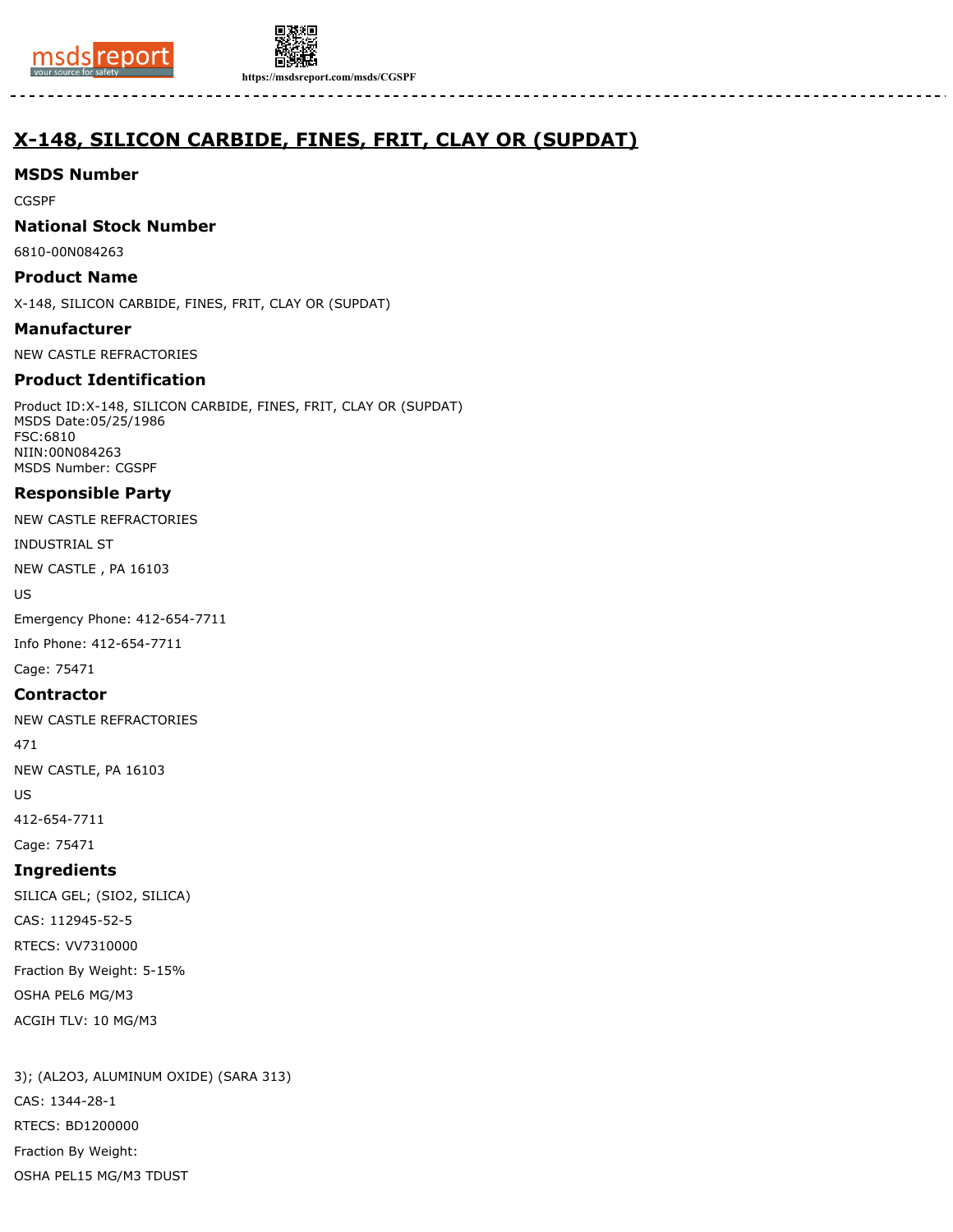



**https://msdsreport.com/msds/CGSPF**

# **X-148, SILICON CARBIDE, FINES, FRIT, CLAY OR (SUPDAT)**

# **MSDS Number**

CGSPF

# **National Stock Number**

6810-00N084263

# **Product Name**

X-148, SILICON CARBIDE, FINES, FRIT, CLAY OR (SUPDAT)

### **Manufacturer**

NEW CASTLE REFRACTORIES

# **Product Identification**

Product ID:X-148, SILICON CARBIDE, FINES, FRIT, CLAY OR (SUPDAT) MSDS Date:05/25/1986 FSC:6810 NIIN:00N084263 MSDS Number: CGSPF

# **Responsible Party**

NEW CASTLE REFRACTORIES

INDUSTRIAL ST

NEW CASTLE , PA 16103

US

Emergency Phone: 412-654-7711 Info Phone: 412-654-7711

Cage: 75471

### **Contractor**

NEW CASTLE REFRACTORIES

471

NEW CASTLE, PA 16103

US

412-654-7711

Cage: 75471

# **Ingredients**

SILICA GEL; (SIO2, SILICA) CAS: 112945-52-5 RTECS: VV7310000 Fraction By Weight: 5-15% OSHA PEL6 MG/M3 ACGIH TLV: 10 MG/M3

3); (AL2O3, ALUMINUM OXIDE) (SARA 313) CAS: 1344-28-1 RTECS: BD1200000 Fraction By Weight: OSHA PEL15 MG/M3 TDUST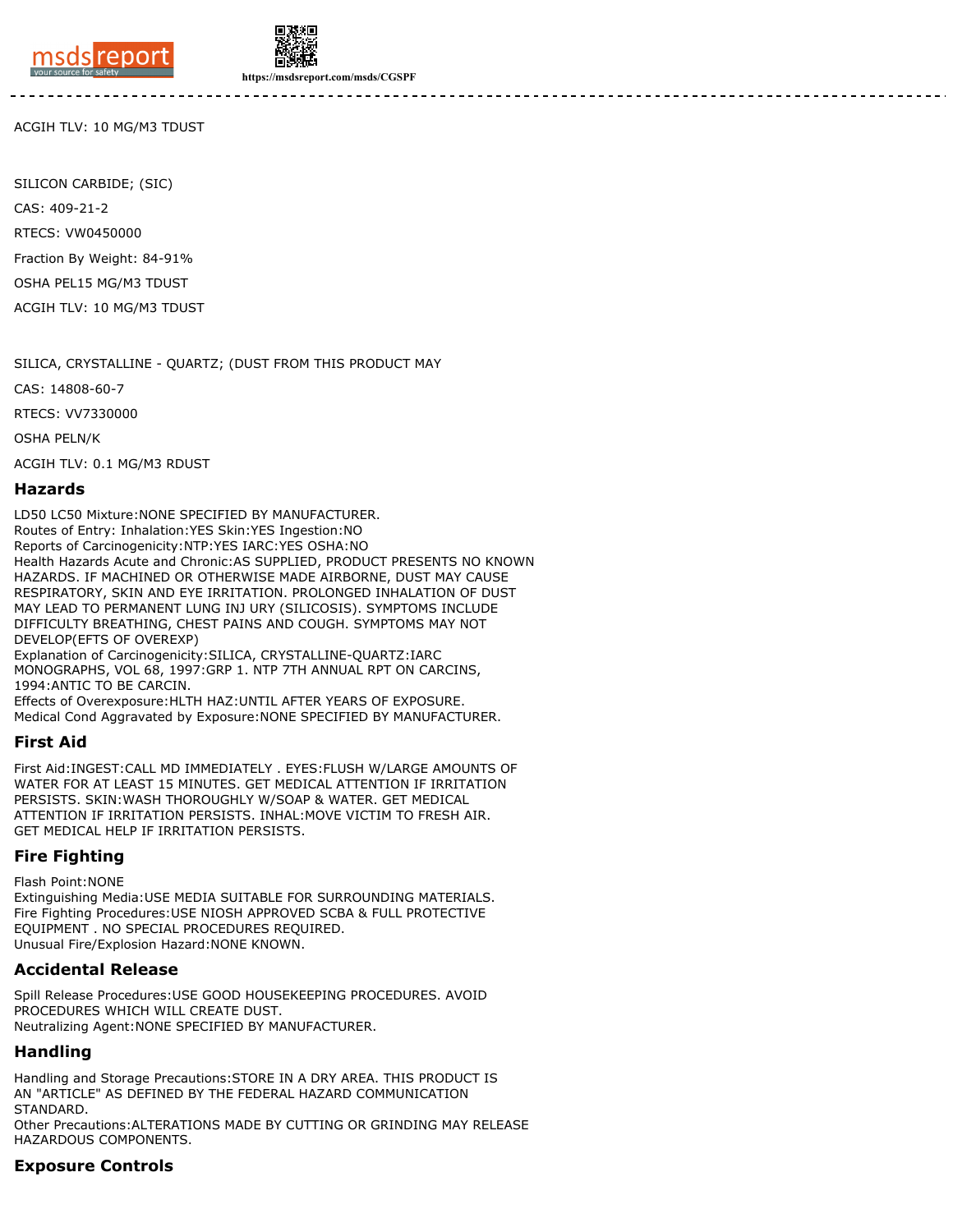



**https://msdsreport.com/msds/CGSPF**

ACGIH TLV: 10 MG/M3 TDUST

SILICON CARBIDE; (SIC) CAS: 409-21-2 RTECS: VW0450000 Fraction By Weight: 84-91% OSHA PEL15 MG/M3 TDUST ACGIH TLV: 10 MG/M3 TDUST

SILICA, CRYSTALLINE - QUARTZ; (DUST FROM THIS PRODUCT MAY

CAS: 14808-60-7

RTECS: VV7330000

OSHA PELN/K

ACGIH TLV: 0.1 MG/M3 RDUST

#### **Hazards**

LD50 LC50 Mixture:NONE SPECIFIED BY MANUFACTURER.

Routes of Entry: Inhalation:YES Skin:YES Ingestion:NO Reports of Carcinogenicity:NTP:YES IARC:YES OSHA:NO Health Hazards Acute and Chronic:AS SUPPLIED, PRODUCT PRESENTS NO KNOWN HAZARDS. IF MACHINED OR OTHERWISE MADE AIRBORNE, DUST MAY CAUSE RESPIRATORY, SKIN AND EYE IRRITATION. PROLONGED INHALATION OF DUST MAY LEAD TO PERMANENT LUNG INJ URY (SILICOSIS). SYMPTOMS INCLUDE DIFFICULTY BREATHING, CHEST PAINS AND COUGH. SYMPTOMS MAY NOT DEVELOP(EFTS OF OVEREXP) Explanation of Carcinogenicity:SILICA, CRYSTALLINE-QUARTZ:IARC

MONOGRAPHS, VOL 68, 1997:GRP 1. NTP 7TH ANNUAL RPT ON CARCINS, 1994:ANTIC TO BE CARCIN.

Effects of Overexposure:HLTH HAZ:UNTIL AFTER YEARS OF EXPOSURE. Medical Cond Aggravated by Exposure:NONE SPECIFIED BY MANUFACTURER.

#### **First Aid**

First Aid:INGEST:CALL MD IMMEDIATELY . EYES:FLUSH W/LARGE AMOUNTS OF WATER FOR AT LEAST 15 MINUTES. GET MEDICAL ATTENTION IF IRRITATION PERSISTS. SKIN:WASH THOROUGHLY W/SOAP & WATER. GET MEDICAL ATTENTION IF IRRITATION PERSISTS. INHAL:MOVE VICTIM TO FRESH AIR. GET MEDICAL HELP IF IRRITATION PERSISTS.

### **Fire Fighting**

Flash Point:NONE

Extinguishing Media:USE MEDIA SUITABLE FOR SURROUNDING MATERIALS. Fire Fighting Procedures:USE NIOSH APPROVED SCBA & FULL PROTECTIVE EQUIPMENT . NO SPECIAL PROCEDURES REQUIRED. Unusual Fire/Explosion Hazard:NONE KNOWN.

#### **Accidental Release**

Spill Release Procedures:USE GOOD HOUSEKEEPING PROCEDURES. AVOID PROCEDURES WHICH WILL CREATE DUST. Neutralizing Agent:NONE SPECIFIED BY MANUFACTURER.

### **Handling**

Handling and Storage Precautions:STORE IN A DRY AREA. THIS PRODUCT IS AN "ARTICLE" AS DEFINED BY THE FEDERAL HAZARD COMMUNICATION STANDARD.

Other Precautions:ALTERATIONS MADE BY CUTTING OR GRINDING MAY RELEASE HAZARDOUS COMPONENTS.

### **Exposure Controls**